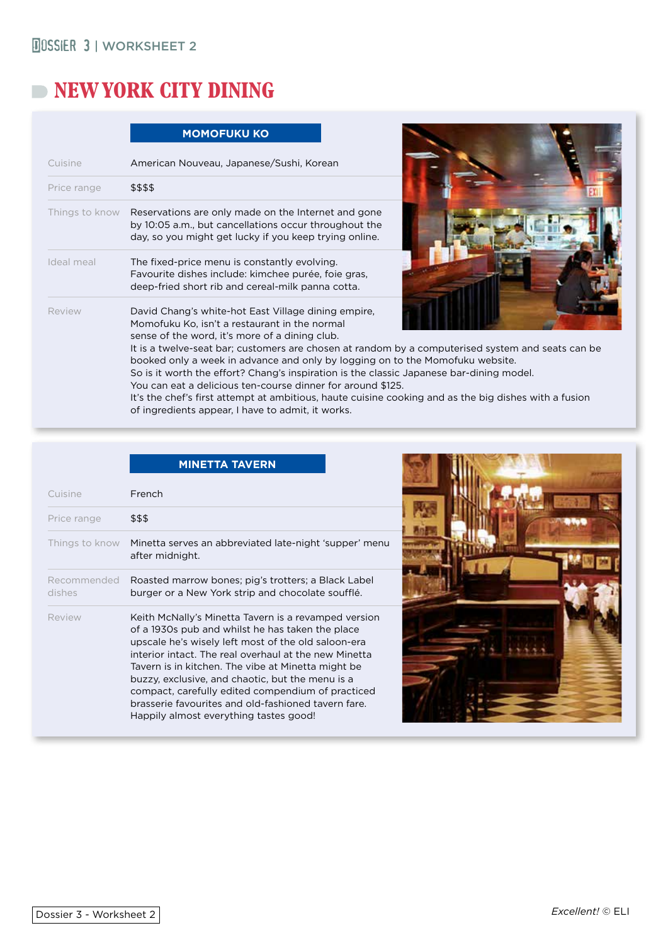# **NEW YORK CITY DINING**

|                | <b>MOMOFUKU KO</b>                                                                                                                                                                                                                                                                                                                                                                                                                                                                                                                                                                                                                                                    |  |
|----------------|-----------------------------------------------------------------------------------------------------------------------------------------------------------------------------------------------------------------------------------------------------------------------------------------------------------------------------------------------------------------------------------------------------------------------------------------------------------------------------------------------------------------------------------------------------------------------------------------------------------------------------------------------------------------------|--|
| Cuisine        | American Nouveau, Japanese/Sushi, Korean                                                                                                                                                                                                                                                                                                                                                                                                                                                                                                                                                                                                                              |  |
| Price range    | \$\$\$\$                                                                                                                                                                                                                                                                                                                                                                                                                                                                                                                                                                                                                                                              |  |
| Things to know | Reservations are only made on the Internet and gone<br>by 10:05 a.m., but cancellations occur throughout the<br>day, so you might get lucky if you keep trying online.                                                                                                                                                                                                                                                                                                                                                                                                                                                                                                |  |
| Ideal meal     | The fixed-price menu is constantly evolving.<br>Favourite dishes include: kimchee purée, foie gras,<br>deep-fried short rib and cereal-milk panna cotta.                                                                                                                                                                                                                                                                                                                                                                                                                                                                                                              |  |
| Review         | David Chang's white-hot East Village dining empire,<br>Momofuku Ko, isn't a restaurant in the normal<br>sense of the word, it's more of a dining club.<br>It is a twelve-seat bar; customers are chosen at random by a computerised system and seats can be<br>booked only a week in advance and only by logging on to the Momofuku website.<br>So is it worth the effort? Chang's inspiration is the classic Japanese bar-dining model.<br>You can eat a delicious ten-course dinner for around \$125.<br>It's the chef's first attempt at ambitious, haute cuisine cooking and as the big dishes with a fusion<br>of ingredients appear, I have to admit, it works. |  |



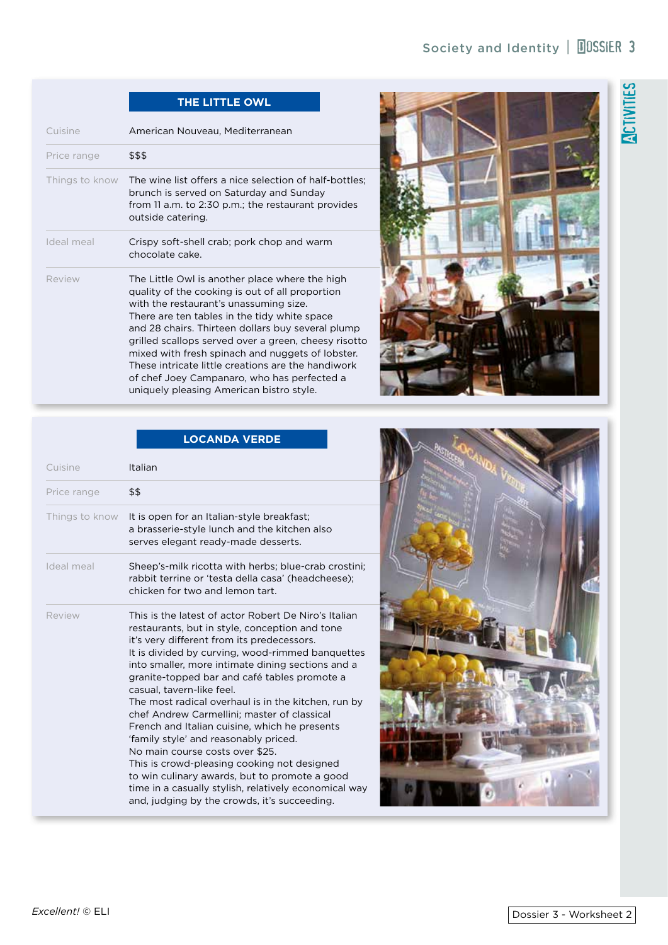# **ACTIVITIES**

# **THE LITTLE OWL**

| Cuisine        | American Nouveau, Mediterranean                                                                                                                                                                                                                                                                                                                                                                                                                                                                               |  |
|----------------|---------------------------------------------------------------------------------------------------------------------------------------------------------------------------------------------------------------------------------------------------------------------------------------------------------------------------------------------------------------------------------------------------------------------------------------------------------------------------------------------------------------|--|
| Price range    | \$\$\$                                                                                                                                                                                                                                                                                                                                                                                                                                                                                                        |  |
| Things to know | The wine list offers a nice selection of half-bottles;<br>brunch is served on Saturday and Sunday<br>from 11 a.m. to 2:30 p.m.; the restaurant provides<br>outside catering.                                                                                                                                                                                                                                                                                                                                  |  |
| Ideal meal     | Crispy soft-shell crab; pork chop and warm<br>chocolate cake.                                                                                                                                                                                                                                                                                                                                                                                                                                                 |  |
| Review         | The Little Owl is another place where the high<br>quality of the cooking is out of all proportion<br>with the restaurant's unassuming size.<br>There are ten tables in the tidy white space<br>and 28 chairs. Thirteen dollars buy several plump<br>grilled scallops served over a green, cheesy risotto<br>mixed with fresh spinach and nuggets of lobster.<br>These intricate little creations are the handiwork<br>of chef Joey Campanaro, who has perfected a<br>uniquely pleasing American bistro style. |  |



|                | <b>LOCANDA VERDE</b>                                                                                                                                                                                                                                                                                                                                                                                                                                                                                                                                                                                                                                                                                                                                                                   |
|----------------|----------------------------------------------------------------------------------------------------------------------------------------------------------------------------------------------------------------------------------------------------------------------------------------------------------------------------------------------------------------------------------------------------------------------------------------------------------------------------------------------------------------------------------------------------------------------------------------------------------------------------------------------------------------------------------------------------------------------------------------------------------------------------------------|
| Cuisine        | Italian                                                                                                                                                                                                                                                                                                                                                                                                                                                                                                                                                                                                                                                                                                                                                                                |
| Price range    | \$\$                                                                                                                                                                                                                                                                                                                                                                                                                                                                                                                                                                                                                                                                                                                                                                                   |
| Things to know | It is open for an Italian-style breakfast;<br>a brasserie-style lunch and the kitchen also<br>serves elegant ready-made desserts.                                                                                                                                                                                                                                                                                                                                                                                                                                                                                                                                                                                                                                                      |
| Ideal meal     | Sheep's-milk ricotta with herbs; blue-crab crostini;<br>rabbit terrine or 'testa della casa' (headcheese);<br>chicken for two and lemon tart.                                                                                                                                                                                                                                                                                                                                                                                                                                                                                                                                                                                                                                          |
| Review         | This is the latest of actor Robert De Niro's Italian<br>restaurants, but in style, conception and tone<br>it's very different from its predecessors.<br>It is divided by curving, wood-rimmed banquettes<br>into smaller, more intimate dining sections and a<br>granite-topped bar and café tables promote a<br>casual, tavern-like feel.<br>The most radical overhaul is in the kitchen, run by<br>chef Andrew Carmellini; master of classical<br>French and Italian cuisine, which he presents<br>'family style' and reasonably priced.<br>No main course costs over \$25.<br>This is crowd-pleasing cooking not designed<br>to win culinary awards, but to promote a good<br>time in a casually stylish, relatively economical way<br>and, judging by the crowds, it's succeeding. |